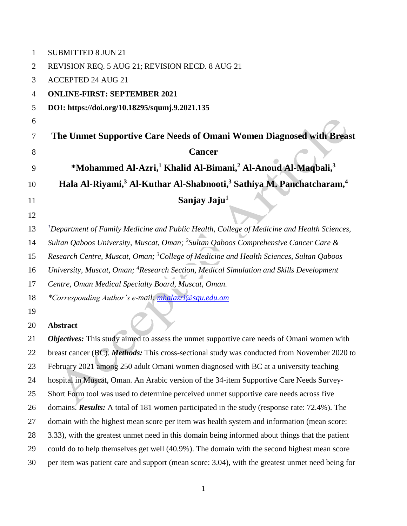| $\mathbf 1$    | <b>SUBMITTED 8 JUN 21</b>                                                                                |
|----------------|----------------------------------------------------------------------------------------------------------|
| $\overline{2}$ | REVISION REQ. 5 AUG 21; REVISION RECD. 8 AUG 21                                                          |
| 3              | <b>ACCEPTED 24 AUG 21</b>                                                                                |
| 4              | <b>ONLINE-FIRST: SEPTEMBER 2021</b>                                                                      |
| 5              | DOI: https://doi.org/10.18295/squmj.9.2021.135                                                           |
| 6              |                                                                                                          |
| 7              | The Unmet Supportive Care Needs of Omani Women Diagnosed with Breast                                     |
| 8              | <b>Cancer</b>                                                                                            |
| 9              | *Mohammed Al-Azri, <sup>1</sup> Khalid Al-Bimani, <sup>2</sup> Al-Anoud Al-Maqbali, <sup>3</sup>         |
| 10             | Hala Al-Riyami, <sup>3</sup> Al-Kuthar Al-Shabnooti, <sup>3</sup> Sathiya M. Panchatcharam, <sup>4</sup> |
| 11             | Sanjay Jaju <sup>1</sup>                                                                                 |
| 12             |                                                                                                          |
| 13             | <sup>1</sup> Department of Family Medicine and Public Health, College of Medicine and Health Sciences,   |
| 14             | Sultan Qaboos University, Muscat, Oman; <sup>2</sup> Sultan Qaboos Comprehensive Cancer Care &           |
| 15             | Research Centre, Muscat, Oman; <sup>3</sup> College of Medicine and Health Sciences, Sultan Qaboos       |
| 16             | University, Muscat, Oman; <sup>4</sup> Research Section, Medical Simulation and Skills Development       |
| 17             | Centre, Oman Medical Specialty Board, Muscat, Oman.                                                      |
| 18             | *Corresponding Author's e-mail: mhalazri@squ.edu.om                                                      |
| 19             |                                                                                                          |
| 20             | <b>Abstract</b>                                                                                          |
| 21             | Objectives: This study aimed to assess the unmet supportive care needs of Omani women with               |
| 22             | breast cancer (BC). <i>Methods</i> : This cross-sectional study was conducted from November 2020 to      |
| 23             | February 2021 among 250 adult Omani women diagnosed with BC at a university teaching                     |
| 24             | hospital in Muscat, Oman. An Arabic version of the 34-item Supportive Care Needs Survey-                 |
| 25             | Short Form tool was used to determine perceived unmet supportive care needs across five                  |
| 26             | domains. Results: A total of 181 women participated in the study (response rate: 72.4%). The             |
| 27             | domain with the highest mean score per item was health system and information (mean score:               |
| 28             | 3.33), with the greatest unmet need in this domain being informed about things that the patient          |
| 29             | could do to help themselves get well (40.9%). The domain with the second highest mean score              |
| 30             | per item was patient care and support (mean score: 3.04), with the greatest unmet need being for         |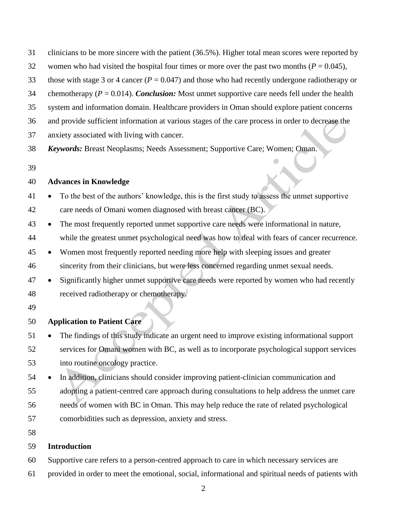- clinicians to be more sincere with the patient (36.5%). Higher total mean scores were reported by
- 32 women who had visited the hospital four times or more over the past two months  $(P = 0.045)$ ,
- those with stage 3 or 4 cancer (*P* = 0.047) and those who had recently undergone radiotherapy or
- chemotherapy (*P* = 0.014). *Conclusion:* Most unmet supportive care needs fell under the health
- system and information domain. Healthcare providers in Oman should explore patient concerns
- and provide sufficient information at various stages of the care process in order to decrease the
- anxiety associated with living with cancer.
- *Keywords:* Breast Neoplasms; Needs Assessment; Supportive Care; Women; Oman.
- 

## **Advances in Knowledge**

- To the best of the authors' knowledge, this is the first study to assess the unmet supportive care needs of Omani women diagnosed with breast cancer (BC).
- The most frequently reported unmet supportive care needs were informational in nature, while the greatest unmet psychological need was how to deal with fears of cancer recurrence.
- Women most frequently reported needing more help with sleeping issues and greater sincerity from their clinicians, but were less concerned regarding unmet sexual needs.
- Significantly higher unmet supportive care needs were reported by women who had recently received radiotherapy or chemotherapy.
- 

## **Application to Patient Care**

51 • The findings of this study indicate an urgent need to improve existing informational support services for Omani women with BC, as well as to incorporate psychological support services into routine oncology practice.

 In addition, clinicians should consider improving patient-clinician communication and adopting a patient-centred care approach during consultations to help address the unmet care needs of women with BC in Oman. This may help reduce the rate of related psychological comorbidities such as depression, anxiety and stress.

# **Introduction**

- Supportive care refers to a person-centred approach to care in which necessary services are
- provided in order to meet the emotional, social, informational and spiritual needs of patients with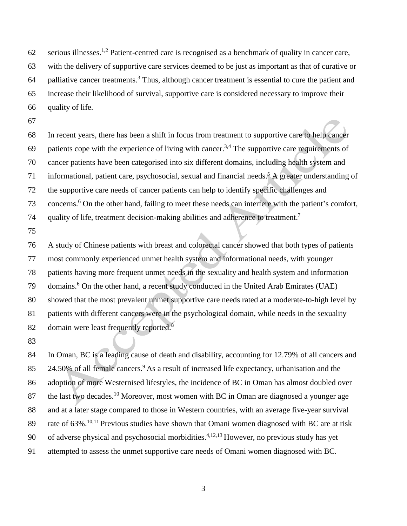62 serious illnesses.<sup>1,2</sup> Patient-centred care is recognised as a benchmark of quality in cancer care, with the delivery of supportive care services deemed to be just as important as that of curative or 64 palliative cancer treatments.<sup>3</sup> Thus, although cancer treatment is essential to cure the patient and increase their likelihood of survival, supportive care is considered necessary to improve their quality of life.

 In recent years, there has been a shift in focus from treatment to supportive care to help cancer 69 patients cope with the experience of living with cancer.<sup>3,4</sup> The supportive care requirements of cancer patients have been categorised into six different domains, including health system and 71 informational, patient care, psychosocial, sexual and financial needs.<sup>5</sup> A greater understanding of the supportive care needs of cancer patients can help to identify specific challenges and 73 concerns.<sup>6</sup> On the other hand, failing to meet these needs can interfere with the patient's comfort, quality of life, treatment decision-making abilities and adherence to treatment.<sup>7</sup> 

 A study of Chinese patients with breast and colorectal cancer showed that both types of patients most commonly experienced unmet health system and informational needs, with younger patients having more frequent unmet needs in the sexuality and health system and information 79 domains.<sup>6</sup> On the other hand, a recent study conducted in the United Arab Emirates (UAE) showed that the most prevalent unmet supportive care needs rated at a moderate-to-high level by patients with different cancers were in the psychological domain, while needs in the sexuality domain were least frequently reported.<sup>8</sup> 

 In Oman, BC is a leading cause of death and disability, accounting for 12.79% of all cancers and 85 24.50% of all female cancers.<sup>9</sup> As a result of increased life expectancy, urbanisation and the adoption of more Westernised lifestyles, the incidence of BC in Oman has almost doubled over 87 the last two decades.<sup>10</sup> Moreover, most women with BC in Oman are diagnosed a younger age and at a later stage compared to those in Western countries, with an average five-year survival 89 rate of  $63\%$ .<sup>10,11</sup> Previous studies have shown that Omani women diagnosed with BC are at risk 90 of adverse physical and psychosocial morbidities. $4,12,13$  However, no previous study has yet attempted to assess the unmet supportive care needs of Omani women diagnosed with BC.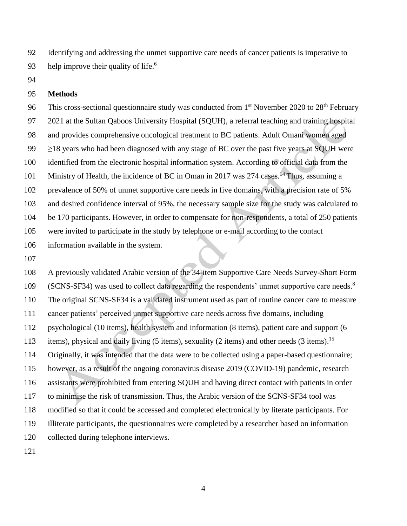Identifying and addressing the unmet supportive care needs of cancer patients is imperative to help improve their quality of life.<sup>6</sup> 

#### **Methods**

96 This cross-sectional questionnaire study was conducted from  $1<sup>st</sup>$  November 2020 to  $28<sup>th</sup>$  February 2021 at the Sultan Qaboos University Hospital (SQUH), a referral teaching and training hospital and provides comprehensive oncological treatment to BC patients. Adult Omani women aged 99 ≥18 years who had been diagnosed with any stage of BC over the past five years at SQUH were identified from the electronic hospital information system. According to official data from the 101 Ministry of Health, the incidence of BC in Oman in 2017 was 274 cases.<sup>14</sup> Thus, assuming a prevalence of 50% of unmet supportive care needs in five domains, with a precision rate of 5% and desired confidence interval of 95%, the necessary sample size for the study was calculated to be 170 participants. However, in order to compensate for non-respondents, a total of 250 patients were invited to participate in the study by telephone or e-mail according to the contact information available in the system.

 A previously validated Arabic version of the 34-item Supportive Care Needs Survey-Short Form  $(SCNS-SF34)$  was used to collect data regarding the respondents' unmet supportive care needs.<sup>8</sup> The original SCNS-SF34 is a validated instrument used as part of routine cancer care to measure cancer patients' perceived unmet supportive care needs across five domains, including psychological (10 items), health system and information (8 items), patient care and support (6 113 items), physical and daily living (5 items), sexuality (2 items) and other needs (3 items).<sup>15</sup> Originally, it was intended that the data were to be collected using a paper-based questionnaire; however, as a result of the ongoing coronavirus disease 2019 (COVID-19) pandemic, research assistants were prohibited from entering SQUH and having direct contact with patients in order to minimise the risk of transmission. Thus, the Arabic version of the SCNS-SF34 tool was modified so that it could be accessed and completed electronically by literate participants. For illiterate participants, the questionnaires were completed by a researcher based on information collected during telephone interviews.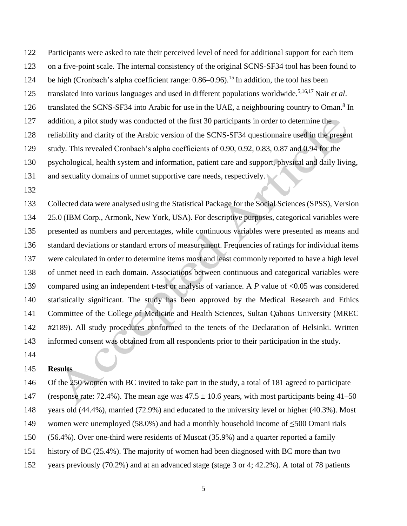Participants were asked to rate their perceived level of need for additional support for each item

- on a five-point scale. The internal consistency of the original SCNS-SF34 tool has been found to
- 124 be high (Cronbach's alpha coefficient range:  $0.86-0.96$ ).<sup>15</sup> In addition, the tool has been
- 125 translated into various languages and used in different populations worldwide.<sup>5,16,17</sup> Nair *et al*.
- 126 translated the SCNS-SF34 into Arabic for use in the UAE, a neighbouring country to Oman.<sup>8</sup> In
- 127 addition, a pilot study was conducted of the first 30 participants in order to determine the
- reliability and clarity of the Arabic version of the SCNS-SF34 questionnaire used in the present
- study. This revealed Cronbach's alpha coefficients of 0.90, 0.92, 0.83, 0.87 and 0.94 for the
- psychological, health system and information, patient care and support, physical and daily living,
- 131 and sexuality domains of unmet supportive care needs, respectively.
- 

 Collected data were analysed using the Statistical Package for the Social Sciences (SPSS), Version 25.0 (IBM Corp., Armonk, New York, USA). For descriptive purposes, categorical variables were presented as numbers and percentages, while continuous variables were presented as means and standard deviations or standard errors of measurement. Frequencies of ratings for individual items were calculated in order to determine items most and least commonly reported to have a high level of unmet need in each domain. Associations between continuous and categorical variables were compared using an independent t-test or analysis of variance. A *P* value of <0.05 was considered statistically significant. The study has been approved by the Medical Research and Ethics Committee of the College of Medicine and Health Sciences, Sultan Qaboos University (MREC #2189). All study procedures conformed to the tenets of the Declaration of Helsinki. Written informed consent was obtained from all respondents prior to their participation in the study.

## **Results**

 Of the 250 women with BC invited to take part in the study, a total of 181 agreed to participate 147 (response rate: 72.4%). The mean age was  $47.5 \pm 10.6$  years, with most participants being 41–50 years old (44.4%), married (72.9%) and educated to the university level or higher (40.3%). Most women were unemployed (58.0%) and had a monthly household income of ≤500 Omani rials (56.4%). Over one-third were residents of Muscat (35.9%) and a quarter reported a family history of BC (25.4%). The majority of women had been diagnosed with BC more than two

years previously (70.2%) and at an advanced stage (stage 3 or 4; 42.2%). A total of 78 patients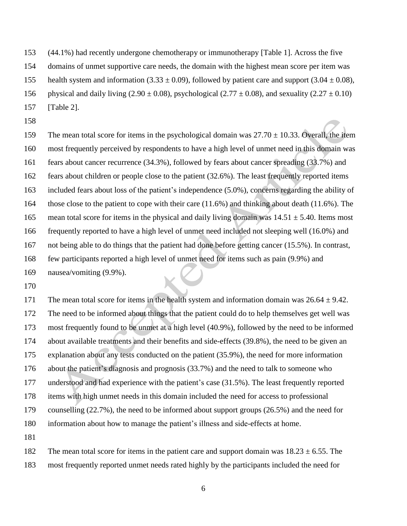(44.1%) had recently undergone chemotherapy or immunotherapy [Table 1]. Across the five

domains of unmet supportive care needs, the domain with the highest mean score per item was

155 health system and information (3.33  $\pm$  0.09), followed by patient care and support (3.04  $\pm$  0.08),

156 physical and daily living  $(2.90 \pm 0.08)$ , psychological  $(2.77 \pm 0.08)$ , and sexuality  $(2.27 \pm 0.10)$ 

- [Table 2].
- 

159 The mean total score for items in the psychological domain was  $27.70 \pm 10.33$ . Overall, the item most frequently perceived by respondents to have a high level of unmet need in this domain was fears about cancer recurrence (34.3%), followed by fears about cancer spreading (33.7%) and fears about children or people close to the patient (32.6%). The least frequently reported items included fears about loss of the patient's independence (5.0%), concerns regarding the ability of those close to the patient to cope with their care (11.6%) and thinking about death (11.6%). The 165 mean total score for items in the physical and daily living domain was  $14.51 \pm 5.40$ . Items most frequently reported to have a high level of unmet need included not sleeping well (16.0%) and not being able to do things that the patient had done before getting cancer (15.5%). In contrast, few participants reported a high level of unmet need for items such as pain (9.9%) and nausea/vomiting (9.9%).

171 The mean total score for items in the health system and information domain was  $26.64 \pm 9.42$ . The need to be informed about things that the patient could do to help themselves get well was most frequently found to be unmet at a high level (40.9%), followed by the need to be informed about available treatments and their benefits and side-effects (39.8%), the need to be given an explanation about any tests conducted on the patient (35.9%), the need for more information about the patient's diagnosis and prognosis (33.7%) and the need to talk to someone who understood and had experience with the patient's case (31.5%). The least frequently reported items with high unmet needs in this domain included the need for access to professional counselling (22.7%), the need to be informed about support groups (26.5%) and the need for information about how to manage the patient's illness and side-effects at home. 

182 The mean total score for items in the patient care and support domain was  $18.23 \pm 6.55$ . The most frequently reported unmet needs rated highly by the participants included the need for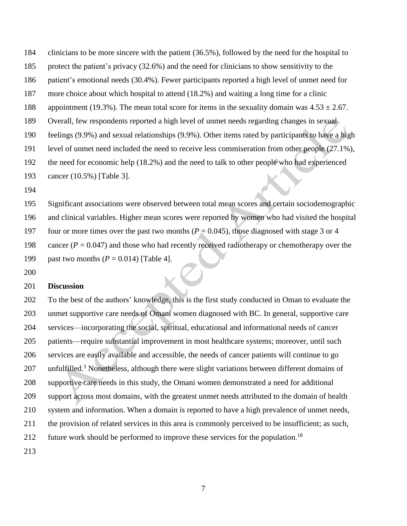clinicians to be more sincere with the patient (36.5%), followed by the need for the hospital to

- protect the patient's privacy (32.6%) and the need for clinicians to show sensitivity to the
- patient's emotional needs (30.4%). Fewer participants reported a high level of unmet need for
- more choice about which hospital to attend (18.2%) and waiting a long time for a clinic
- 188 appointment (19.3%). The mean total score for items in the sexuality domain was  $4.53 \pm 2.67$ .
- Overall, few respondents reported a high level of unmet needs regarding changes in sexual
- feelings (9.9%) and sexual relationships (9.9%). Other items rated by participants to have a high
- level of unmet need included the need to receive less commiseration from other people (27.1%),
- the need for economic help (18.2%) and the need to talk to other people who had experienced
- cancer (10.5%) [Table 3].
- 

 Significant associations were observed between total mean scores and certain sociodemographic and clinical variables. Higher mean scores were reported by women who had visited the hospital 197 four or more times over the past two months  $(P = 0.045)$ , those diagnosed with stage 3 or 4 198 cancer  $(P = 0.047)$  and those who had recently received radiotherapy or chemotherapy over the past two months (*P* = 0.014) [Table 4].

# **Discussion**

 To the best of the authors' knowledge, this is the first study conducted in Oman to evaluate the unmet supportive care needs of Omani women diagnosed with BC. In general, supportive care services—incorporating the social, spiritual, educational and informational needs of cancer patients—require substantial improvement in most healthcare systems; moreover, until such services are easily available and accessible, the needs of cancer patients will continue to go 207 unfulfilled.<sup>3</sup> Nonetheless, although there were slight variations between different domains of supportive care needs in this study, the Omani women demonstrated a need for additional support across most domains, with the greatest unmet needs attributed to the domain of health system and information. When a domain is reported to have a high prevalence of unmet needs, the provision of related services in this area is commonly perceived to be insufficient; as such, 212 future work should be performed to improve these services for the population.<sup>18</sup>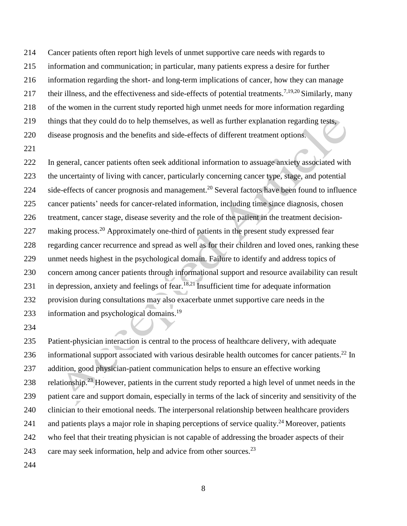Cancer patients often report high levels of unmet supportive care needs with regards to information and communication; in particular, many patients express a desire for further information regarding the short- and long-term implications of cancer, how they can manage 217 their illness, and the effectiveness and side-effects of potential treatments.<sup>7,19,20</sup> Similarly, many of the women in the current study reported high unmet needs for more information regarding things that they could do to help themselves, as well as further explanation regarding tests, disease prognosis and the benefits and side-effects of different treatment options.

 In general, cancer patients often seek additional information to assuage anxiety associated with the uncertainty of living with cancer, particularly concerning cancer type, stage, and potential 224 side-effects of cancer prognosis and management.<sup>20</sup> Several factors have been found to influence cancer patients' needs for cancer-related information, including time since diagnosis, chosen treatment, cancer stage, disease severity and the role of the patient in the treatment decision-227 making process.<sup>20</sup> Approximately one-third of patients in the present study expressed fear regarding cancer recurrence and spread as well as for their children and loved ones, ranking these unmet needs highest in the psychological domain. Failure to identify and address topics of concern among cancer patients through informational support and resource availability can result 231 in depression, anxiety and feelings of fear.<sup>18,21</sup> Insufficient time for adequate information provision during consultations may also exacerbate unmet supportive care needs in the 233 information and psychological domains.<sup>19</sup>

 Patient-physician interaction is central to the process of healthcare delivery, with adequate 236 informational support associated with various desirable health outcomes for cancer patients.<sup>22</sup> In addition, good physician-patient communication helps to ensure an effective working 238 relationship.<sup>23</sup> However, patients in the current study reported a high level of unmet needs in the patient care and support domain, especially in terms of the lack of sincerity and sensitivity of the clinician to their emotional needs. The interpersonal relationship between healthcare providers 241 and patients plays a major role in shaping perceptions of service quality.<sup>24</sup> Moreover, patients who feel that their treating physician is not capable of addressing the broader aspects of their 243 care may seek information, help and advice from other sources.<sup>23</sup>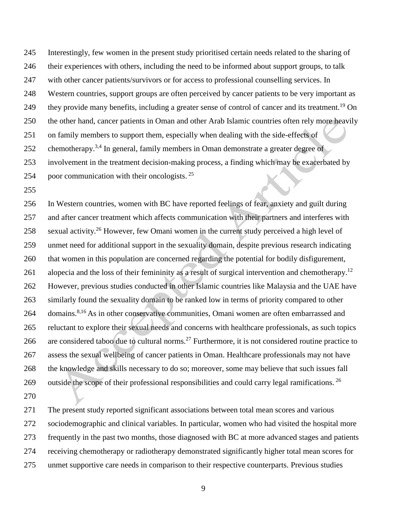Interestingly, few women in the present study prioritised certain needs related to the sharing of their experiences with others, including the need to be informed about support groups, to talk with other cancer patients/survivors or for access to professional counselling services. In Western countries, support groups are often perceived by cancer patients to be very important as 249 they provide many benefits, including a greater sense of control of cancer and its treatment.<sup>19</sup> On the other hand, cancer patients in Oman and other Arab Islamic countries often rely more heavily on family members to support them, especially when dealing with the side-effects of 252 chemotherapy.<sup>3,4</sup> In general, family members in Oman demonstrate a greater degree of involvement in the treatment decision-making process, a finding which may be exacerbated by 254 poor communication with their oncologists.

 In Western countries, women with BC have reported feelings of fear, anxiety and guilt during and after cancer treatment which affects communication with their partners and interferes with 258 sexual activity.<sup>26</sup> However, few Omani women in the current study perceived a high level of unmet need for additional support in the sexuality domain, despite previous research indicating that women in this population are concerned regarding the potential for bodily disfigurement, 261 alopecia and the loss of their femininity as a result of surgical intervention and chemotherapy.<sup>12</sup> However, previous studies conducted in other Islamic countries like Malaysia and the UAE have similarly found the sexuality domain to be ranked low in terms of priority compared to other 264 domains.<sup>8,16</sup> As in other conservative communities, Omani women are often embarrassed and reluctant to explore their sexual needs and concerns with healthcare professionals, as such topics 266 are considered taboo due to cultural norms.<sup>27</sup> Furthermore, it is not considered routine practice to assess the sexual wellbeing of cancer patients in Oman. Healthcare professionals may not have the knowledge and skills necessary to do so; moreover, some may believe that such issues fall 269 outside the scope of their professional responsibilities and could carry legal ramifications.  $^{26}$ 

 The present study reported significant associations between total mean scores and various sociodemographic and clinical variables. In particular, women who had visited the hospital more frequently in the past two months, those diagnosed with BC at more advanced stages and patients receiving chemotherapy or radiotherapy demonstrated significantly higher total mean scores for unmet supportive care needs in comparison to their respective counterparts. Previous studies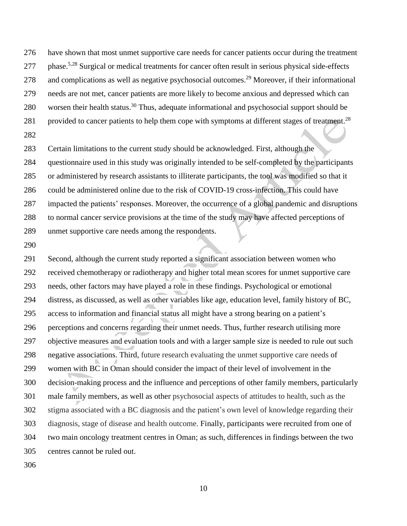have shown that most unmet supportive care needs for cancer patients occur during the treatment 277 phase.<sup>5,28</sup> Surgical or medical treatments for cancer often result in serious physical side-effects 278 and complications as well as negative psychosocial outcomes.<sup>29</sup> Moreover, if their informational needs are not met, cancer patients are more likely to become anxious and depressed which can 280 worsen their health status.<sup>30</sup> Thus, adequate informational and psychosocial support should be 281 provided to cancer patients to help them cope with symptoms at different stages of treatment.<sup>28</sup> 

 Certain limitations to the current study should be acknowledged. First, although the questionnaire used in this study was originally intended to be self-completed by the participants or administered by research assistants to illiterate participants, the tool was modified so that it could be administered online due to the risk of COVID-19 cross-infection. This could have impacted the patients' responses. Moreover, the occurrence of a global pandemic and disruptions to normal cancer service provisions at the time of the study may have affected perceptions of unmet supportive care needs among the respondents.

 Second, although the current study reported a significant association between women who received chemotherapy or radiotherapy and higher total mean scores for unmet supportive care needs, other factors may have played a role in these findings. Psychological or emotional distress, as discussed, as well as other variables like age, education level, family history of BC, access to information and financial status all might have a strong bearing on a patient's perceptions and concerns regarding their unmet needs. Thus, further research utilising more objective measures and evaluation tools and with a larger sample size is needed to rule out such negative associations. Third, future research evaluating the unmet supportive care needs of women with BC in Oman should consider the impact of their level of involvement in the decision-making process and the influence and perceptions of other family members, particularly male family members, as well as other psychosocial aspects of attitudes to health, such as the stigma associated with a BC diagnosis and the patient's own level of knowledge regarding their diagnosis, stage of disease and health outcome. Finally, participants were recruited from one of two main oncology treatment centres in Oman; as such, differences in findings between the two centres cannot be ruled out.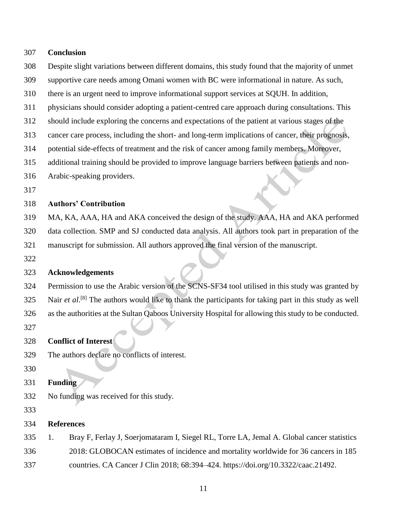# **Conclusion** Despite slight variations between different domains, this study found that the majority of unmet supportive care needs among Omani women with BC were informational in nature. As such, there is an urgent need to improve informational support services at SQUH. In addition, physicians should consider adopting a patient-centred care approach during consultations. This should include exploring the concerns and expectations of the patient at various stages of the cancer care process, including the short- and long-term implications of cancer, their prognosis, potential side-effects of treatment and the risk of cancer among family members. Moreover, additional training should be provided to improve language barriers between patients and non- Arabic-speaking providers. **Authors' Contribution** MA, KA, AAA, HA and AKA conceived the design of the study. AAA, HA and AKA performed data collection. SMP and SJ conducted data analysis. All authors took part in preparation of the manuscript for submission. All authors approved the final version of the manuscript. **Acknowledgements** Permission to use the Arabic version of the SCNS-SF34 tool utilised in this study was granted by 325 Nair *et al*.<sup>[8]</sup> The authors would like to thank the participants for taking part in this study as well as the authorities at the Sultan Qaboos University Hospital for allowing this study to be conducted. **Conflict of Interest** The authors declare no conflicts of interest. **Funding** No funding was received for this study. **References**

 1. Bray F, Ferlay J, Soerjomataram I, Siegel RL, Torre LA, Jemal A. Global cancer statistics 2018: GLOBOCAN estimates of incidence and mortality worldwide for 36 cancers in 185 countries. CA Cancer J Clin 2018; 68:394–424. https://doi.org/10.3322/caac.21492.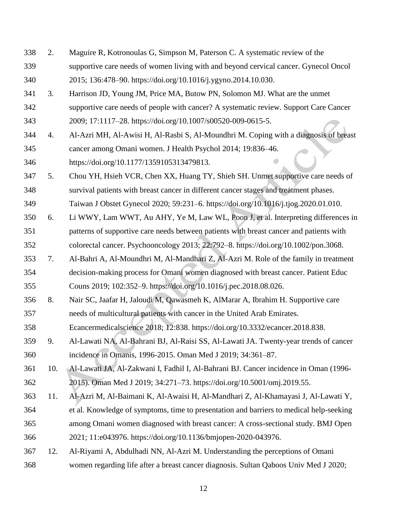2. Maguire R, Kotronoulas G, Simpson M, Paterson C. A systematic review of the supportive care needs of women living with and beyond cervical cancer. Gynecol Oncol 2015; 136:478–90. https://doi.org/10.1016/j.ygyno.2014.10.030. 3. Harrison JD, Young JM, Price MA, Butow PN, Solomon MJ. What are the unmet supportive care needs of people with cancer? A systematic review. Support Care Cancer 2009; 17:1117–28. https://doi.org/10.1007/s00520-009-0615-5. 4. Al-Azri MH, Al-Awisi H, Al-Rasbi S, Al-Moundhri M. Coping with a diagnosis of breast cancer among Omani women. J Health Psychol 2014; 19:836–46. https://doi.org/10.1177/1359105313479813. 5. Chou YH, Hsieh VCR, Chen XX, Huang TY, Shieh SH. Unmet supportive care needs of survival patients with breast cancer in different cancer stages and treatment phases. Taiwan J Obstet Gynecol 2020; 59:231–6. https://doi.org/10.1016/j.tjog.2020.01.010. 6. Li WWY, Lam WWT, Au AHY, Ye M, Law WL, Poon J, et al. Interpreting differences in patterns of supportive care needs between patients with breast cancer and patients with colorectal cancer. Psychooncology 2013; 22:792–8. https://doi.org/10.1002/pon.3068. 7. Al-Bahri A, Al-Moundhri M, Al-Mandhari Z, Al-Azri M. Role of the family in treatment decision-making process for Omani women diagnosed with breast cancer. Patient Educ Couns 2019; 102:352–9. https://doi.org/10.1016/j.pec.2018.08.026. 8. Nair SC, Jaafar H, Jaloudi M, Qawasmeh K, AlMarar A, Ibrahim H. Supportive care needs of multicultural patients with cancer in the United Arab Emirates. Ecancermedicalscience 2018; 12:838. https://doi.org/10.3332/ecancer.2018.838. 9. Al-Lawati NA, Al-Bahrani BJ, Al-Raisi SS, Al-Lawati JA. Twenty-year trends of cancer incidence in Omanis, 1996-2015. Oman Med J 2019; 34:361–87. 10. Al-Lawati JA, Al-Zakwani I, Fadhil I, Al-Bahrani BJ. Cancer incidence in Oman (1996- 2015). Oman Med J 2019; 34:271–73. https://doi.org/10.5001/omj.2019.55. 11. Al-Azri M, Al-Baimani K, Al-Awaisi H, Al-Mandhari Z, Al-Khamayasi J, Al-Lawati Y, et al. Knowledge of symptoms, time to presentation and barriers to medical help-seeking among Omani women diagnosed with breast cancer: A cross-sectional study. BMJ Open 2021; 11:e043976. https://doi.org/10.1136/bmjopen-2020-043976. 12. Al-Riyami A, Abdulhadi NN, Al-Azri M. Understanding the perceptions of Omani women regarding life after a breast cancer diagnosis. Sultan Qaboos Univ Med J 2020;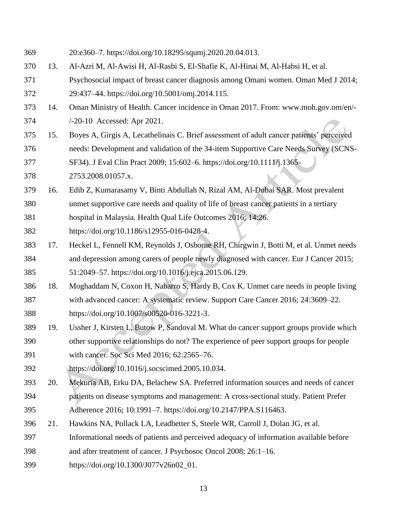- 20:e360–7. https://doi.org/10.18295/squmj.2020.20.04.013.
- 13. Al-Azri M, Al-Awisi H, Al-Rasbi S, El-Shafie K, Al-Hinai M, Al-Habsi H, et al.
- Psychosocial impact of breast cancer diagnosis among Omani women. Oman Med J 2014; 29:437–44. https://doi.org/10.5001/omj.2014.115.
- 14. Oman Ministry of Health. Cancer incidence in Oman 2017. From: www.moh.gov.om/en/-
- /-20-10 Accessed: Apr 2021.
- 15. Boyes A, Girgis A, Lecathelinais C. Brief assessment of adult cancer patients' perceived needs: Development and validation of the 34-item Supportive Care Needs Survey (SCNS-
- SF34). J Eval Clin Pract 2009; 15:602–6. https://doi.org/10.1111/j.1365-
- 2753.2008.01057.x.
- 16. Edib Z, Kumarasamy V, Binti Abdullah N, Rizal AM, Al-Dubai SAR. Most prevalent
- unmet supportive care needs and quality of life of breast cancer patients in a tertiary
- hospital in Malaysia. Health Qual Life Outcomes 2016; 14:26.
- https://doi.org/10.1186/s12955-016-0428-4.
- 17. Heckel L, Fennell KM, Reynolds J, Osborne RH, Chirgwin J, Botti M, et al. Unmet needs and depression among carers of people newly diagnosed with cancer. Eur J Cancer 2015; 51:2049–57. https://doi.org/10.1016/j.ejca.2015.06.129.
- 18. Moghaddam N, Coxon H, Nabarro S, Hardy B, Cox K. Unmet care needs in people living with advanced cancer: A systematic review. Support Care Cancer 2016; 24:3609–22. https://doi.org/10.1007/s00520-016-3221-3.
- 19. Ussher J, Kirsten L, Butow P, Sandoval M. What do cancer support groups provide which other supportive relationships do not? The experience of peer support groups for people with cancer. Soc Sci Med 2016; 62:2565–76.
- https://doi.org/10.1016/j.socscimed.2005.10.034.
- 20. Mekuria AB, Erku DA, Belachew SA. Preferred information sources and needs of cancer patients on disease symptoms and management: A cross-sectional study. Patient Prefer
- Adherence 2016; 10:1991–7. https://doi.org/10.2147/PPA.S116463.
- 21. Hawkins NA, Pollack LA, Leadbetter S, Steele WR, Carroll J, Dolan JG, et al.
- Informational needs of patients and perceived adequacy of information available before
- and after treatment of cancer. J Psychosoc Oncol 2008; 26:1–16.
- https://doi.org/10.1300/J077v26n02\_01.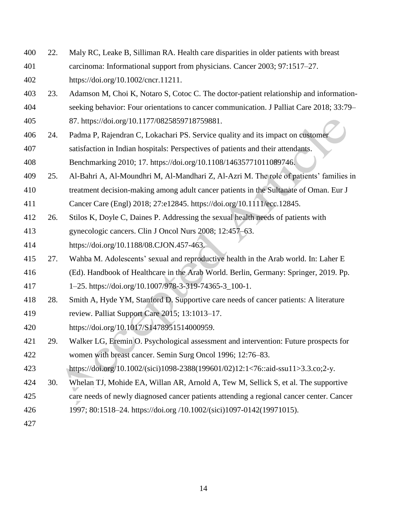- 22. Maly RC, Leake B, Silliman RA. Health care disparities in older patients with breast carcinoma: Informational support from physicians. Cancer 2003; 97:1517–27. https://doi.org/10.1002/cncr.11211.
- 23. Adamson M, Choi K, Notaro S, Cotoc C. The doctor-patient relationship and information-seeking behavior: Four orientations to cancer communication. J Palliat Care 2018; 33:79–
- 87. https://doi.org/10.1177/0825859718759881.
- 24. Padma P, Rajendran C, Lokachari PS. Service quality and its impact on customer satisfaction in Indian hospitals: Perspectives of patients and their attendants. Benchmarking 2010; 17. https://doi.org/10.1108/14635771011089746.
- 25. Al-Bahri A, Al-Moundhri M, Al-Mandhari Z, Al-Azri M. The role of patients' families in treatment decision-making among adult cancer patients in the Sultanate of Oman. Eur J
- Cancer Care (Engl) 2018; 27:e12845. https://doi.org/10.1111/ecc.12845.
- 26. Stilos K, Doyle C, Daines P. Addressing the sexual health needs of patients with
- gynecologic cancers. Clin J Oncol Nurs 2008; 12:457–63.
- https://doi.org/10.1188/08.CJON.457-463.
- 27. Wahba M. Adolescents' sexual and reproductive health in the Arab world. In: Laher E
- (Ed). Handbook of Healthcare in the Arab World. Berlin, Germany: Springer, 2019. Pp.
- 1–25. https://doi.org/10.1007/978-3-319-74365-3\_100-1.
- 28. Smith A, Hyde YM, Stanford D. Supportive care needs of cancer patients: A literature review. Palliat Support Care 2015; 13:1013–17.
- https://doi.org/10.1017/S1478951514000959.
- 29. Walker LG, Eremin O. Psychological assessment and intervention: Future prospects for women with breast cancer. Semin Surg Oncol 1996; 12:76–83.
- https://doi.org/10.1002/(sici)1098-2388(199601/02)12:1<76::aid-ssu11>3.3.co;2-y.
- 30. Whelan TJ, Mohide EA, Willan AR, Arnold A, Tew M, Sellick S, et al. The supportive
- care needs of newly diagnosed cancer patients attending a regional cancer center. Cancer
- 1997; 80:1518–24. https://doi.org /10.1002/(sici)1097-0142(19971015).
-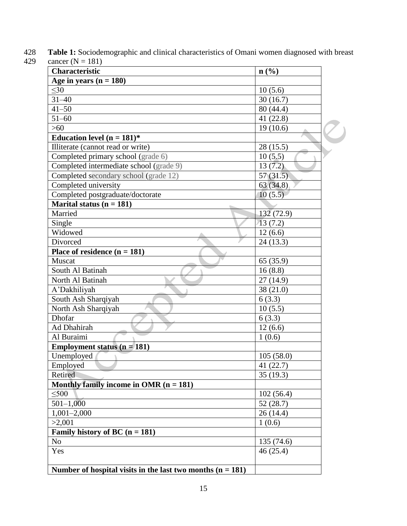| Characteristic                           | n(%)        |
|------------------------------------------|-------------|
| Age in years $(n = 180)$                 |             |
| $\leq 30$                                | 10(5.6)     |
| $31 - 40$                                | 30(16.7)    |
| $41 - 50$                                | 80 (44.4)   |
| $51 - 60$                                | 41 (22.8)   |
| $>60$                                    | 19(10.6)    |
| Education level ( $n = 181$ )*           |             |
| Illiterate (cannot read or write)        | 28(15.5)    |
| Completed primary school (grade 6)       | 10(5.5)     |
| Completed intermediate school (grade 9)  | 13(7.2)     |
| Completed secondary school (grade 12)    | 57(31.5)    |
| Completed university                     | 63(34.8)    |
| Completed postgraduate/doctorate         | 10(5.5)     |
| Marital status ( $n = 181$ )             |             |
| Married                                  | 132(72.9)   |
| Single                                   | 13(7.2)     |
| Widowed                                  | 12(6.6)     |
| Divorced                                 | 24(13.3)    |
| Place of residence $(n = 181)$           |             |
| Muscat                                   | 65 (35.9)   |
| South Al Batinah                         | 16(8.8)     |
| North Al Batinah                         | 27(14.9)    |
| A'Dakhiliyah                             | 38(21.0)    |
| South Ash Sharqiyah                      | 6(3.3)      |
| North Ash Sharqiyah                      | 10(5.5)     |
| Dhofar                                   | 6(3.3)      |
| Ad Dhahirah                              | 12(6.6)     |
| Al Buraimi                               | 1(0.6)      |
| Employment status ( $n = 181$ )          |             |
| Unemployed                               | 105(58.0)   |
| Employed                                 | 41 $(22.7)$ |
| Retired                                  | 35(19.3)    |
| Monthly family income in OMR $(n = 181)$ |             |
| $\leq 500$                               | 102(56.4)   |
| $501 - 1,000$                            | 52(28.7)    |
| $1,001-2,000$                            | 26(14.4)    |
| >2,001                                   | 1(0.6)      |
| Family history of BC $(n = 181)$         |             |
| N <sub>o</sub>                           | 135 (74.6)  |
| Yes                                      | 46(25.4)    |

**Table 1:** Sociodemographic and clinical characteristics of Omani women diagnosed with breast cancer (N = 181) cancer ( $N = 181$ )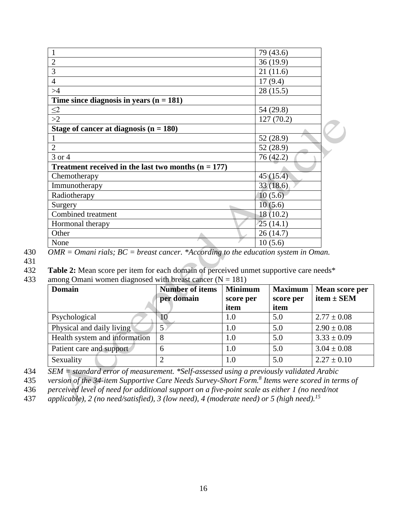|                                                       | 79 (43.6) |  |
|-------------------------------------------------------|-----------|--|
| $\overline{2}$                                        | 36(19.9)  |  |
| 3                                                     | 21(11.6)  |  |
| $\overline{4}$                                        | 17(9.4)   |  |
| >4                                                    | 28 (15.5) |  |
| Time since diagnosis in years $(n = 181)$             |           |  |
| $\frac{\leq 2}{\geq 2}$                               | 54 (29.8) |  |
|                                                       | 127(70.2) |  |
| Stage of cancer at diagnosis $(n = 180)$              |           |  |
|                                                       | 52 (28.9) |  |
| $\overline{2}$                                        | 52 (28.9) |  |
| 3 or 4                                                | 76(42.2)  |  |
| Treatment received in the last two months $(n = 177)$ |           |  |
| Chemotherapy                                          | 45(15.4)  |  |
| Immunotherapy                                         | 33(18.6)  |  |
| Radiotherapy                                          | 10(5.6)   |  |
| Surgery                                               | 10(5.6)   |  |
| Combined treatment                                    | 18(10.2)  |  |
| Hormonal therapy                                      | 25(14.1)  |  |
| Other                                                 | 26(14.7)  |  |
| None                                                  | 10(5.6)   |  |

430 *OMR = Omani rials; BC = breast cancer. \*According to the education system in Oman.*

431

432 **Table 2:** Mean score per item for each domain of perceived unmet supportive care needs\*

433 among Omani women diagnosed with breast cancer  $(N = 181)$ 

| <b>Domain</b>                 | <b>Number of items</b> | <b>Minimum</b> | <b>Maximum</b> | Mean score per  |
|-------------------------------|------------------------|----------------|----------------|-----------------|
|                               | per domain             | score per      | score per      | item $\pm$ SEM  |
|                               |                        | item           | item           |                 |
| Psychological                 |                        | 1.0            | 5.0            | $2.77 \pm 0.08$ |
| Physical and daily living     |                        | 1.0            | 5.0            | $2.90 \pm 0.08$ |
| Health system and information |                        | 1.0            | 5.0            | $3.33 \pm 0.09$ |
| Patient care and support      | 6                      | 1.0            | 5.0            | $3.04 \pm 0.08$ |
| Sexuality                     |                        | 1.0            | 5.0            | $2.27 \pm 0.10$ |

434 *SEM = standard error of measurement. \*Self-assessed using a previously validated Arabic* 

*version of the 34-item Supportive Care Needs Survey-Short Form.<sup>8</sup>* 435 *Items were scored in terms of* 

436 *perceived level of need for additional support on a five-point scale as either 1 (no need/not* 

*applicable), 2 (no need/satisfied), 3 (low need), 4 (moderate need) or 5 (high need).<sup>15</sup>* 437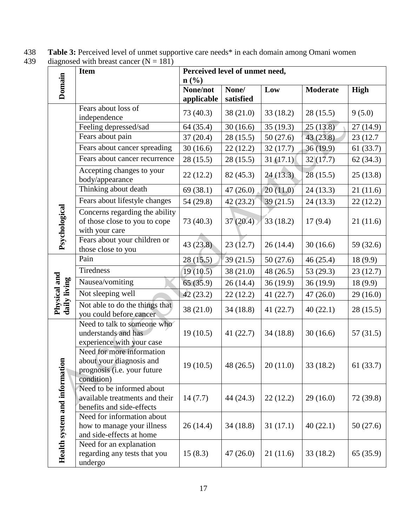438 **Table 3:** Perceived level of unmet supportive care needs\* in each domain among Omani women

|  | 439 | diagnosed with breast cancer $(N = 181)$ |  |
|--|-----|------------------------------------------|--|
|--|-----|------------------------------------------|--|

|                                     | <b>Item</b>                                                                                        | Perceived level of unmet need, |             |             |                 |             |
|-------------------------------------|----------------------------------------------------------------------------------------------------|--------------------------------|-------------|-------------|-----------------|-------------|
|                                     |                                                                                                    | $n\left(\frac{0}{0}\right)$    |             |             |                 |             |
| Domain                              |                                                                                                    | None/not                       | None/       | Low         | <b>Moderate</b> | <b>High</b> |
|                                     |                                                                                                    | applicable                     | satisfied   |             |                 |             |
|                                     | Fears about loss of<br>independence                                                                | 73 (40.3)                      | 38(21.0)    | 33(18.2)    | 28(15.5)        | 9(5.0)      |
|                                     | Feeling depressed/sad                                                                              | 64(35.4)                       | 30(16.6)    | 35(19.3)    | 25(13.8)        | 27(14.9)    |
|                                     | Fears about pain                                                                                   | 37(20.4)                       | 28(15.5)    | 50(27.6)    | 43(23.8)        | 23 (12.7)   |
|                                     | Fears about cancer spreading                                                                       | 30(16.6)                       | 22(12.2)    | 32(17.7)    | 36(19.9)        | 61(33.7)    |
|                                     | Fears about cancer recurrence                                                                      | 28(15.5)                       | 28(15.5)    | 31(17.1)    | 32(17.7)        | 62(34.3)    |
|                                     | Accepting changes to your<br>body/appearance                                                       | 22(12.2)                       | 82 (45.3)   | 24(13.3)    | 28(15.5)        | 25(13.8)    |
|                                     | Thinking about death                                                                               | 69(38.1)                       | 47(26.0)    | 20(11.0)    | 24(13.3)        | 21(11.6)    |
|                                     | Fears about lifestyle changes                                                                      | 54 (29.8)                      | 42(23.2)    | 39(21.5)    | 24(13.3)        | 22(12.2)    |
| Psychological                       | Concerns regarding the ability<br>of those close to you to cope<br>with your care                  | 73 (40.3)                      | 37(20.4)    | 33(18.2)    | 17(9.4)         | 21(11.6)    |
|                                     | Fears about your children or<br>those close to you                                                 | 43(23.8)                       | 23(12.7)    | 26(14.4)    | 30(16.6)        | 59 (32.6)   |
|                                     | Pain                                                                                               | 28(15.5)                       | 39(21.5)    | 50(27.6)    | 46(25.4)        | 18(9.9)     |
|                                     | Tiredness                                                                                          | 19(10.5)                       | 38 (21.0)   | 48 (26.5)   | 53 $(29.3)$     | 23(12.7)    |
|                                     | Nausea/vomiting                                                                                    | 65(35.9)                       | 26(14.4)    | 36(19.9)    | 36(19.9)        | 18(9.9)     |
|                                     | Not sleeping well                                                                                  | 42(23.2)                       | 22(12.2)    | 41(22.7)    | 47(26.0)        | 29(16.0)    |
| Physical and<br>daily living        | Not able to do the things that<br>you could before cancer                                          | 38(21.0)                       | 34(18.8)    | 41 $(22.7)$ | 40(22.1)        | 28(15.5)    |
|                                     | Need to talk to someone who<br>understands and has<br>experience with your case                    | 19(10.5)                       | 41 $(22.7)$ | 34(18.8)    | 30(16.6)        | 57(31.5)    |
| s                                   | Need for more information<br>about your diagnosis and<br>prognosis (i.e. your future<br>condition) | 19(10.5)                       | 48 (26.5)   | 20(11.0)    | 33(18.2)        | 61(33.7)    |
|                                     | Need to be informed about<br>available treatments and their<br>benefits and side-effects           | 14(7.7)                        | 44 (24.3)   | 22(12.2)    | 29(16.0)        | 72 (39.8)   |
| <b>Health system and informatio</b> | Need for information about<br>how to manage your illness<br>and side-effects at home               | 26(14.4)                       | 34(18.8)    | 31(17.1)    | 40(22.1)        | 50(27.6)    |
|                                     | Need for an explanation<br>regarding any tests that you<br>undergo                                 | 15(8.3)                        | 47(26.0)    | 21(11.6)    | 33(18.2)        | 65 (35.9)   |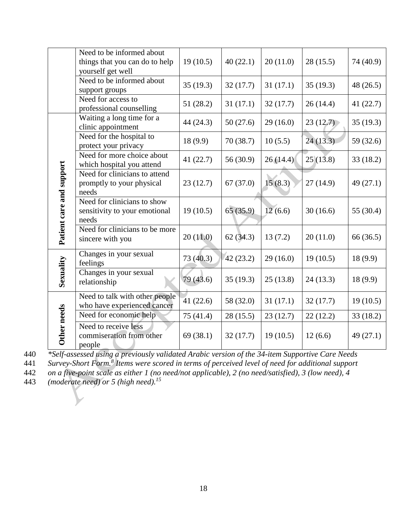|                          | Need to be informed about<br>things that you can do to help<br>yourself get well | 19(10.5)  | 40(22.1)  | 20(11.0) | 28(15.5) | 74 (40.9)   |
|--------------------------|----------------------------------------------------------------------------------|-----------|-----------|----------|----------|-------------|
|                          | Need to be informed about<br>support groups                                      | 35(19.3)  | 32(17.7)  | 31(17.1) | 35(19.3) | 48 (26.5)   |
|                          | Need for access to<br>professional counselling                                   | 51 (28.2) | 31(17.1)  | 32(17.7) | 26(14.4) | 41 $(22.7)$ |
|                          | Waiting a long time for a<br>clinic appointment                                  | 44 (24.3) | 50(27.6)  | 29(16.0) | 23(12.7) | 35(19.3)    |
|                          | Need for the hospital to<br>protect your privacy                                 | 18(9.9)   | 70(38.7)  | 10(5.5)  | 24(13.3) | 59 (32.6)   |
|                          | Need for more choice about<br>which hospital you attend                          | 41(22.7)  | 56 (30.9) | 26(14.4) | 25(13.8) | 33(18.2)    |
|                          | Need for clinicians to attend<br>promptly to your physical<br>needs              | 23(12.7)  | 67(37.0)  | 15(8.3)  | 27(14.9) | 49 (27.1)   |
| Patient care and support | Need for clinicians to show<br>sensitivity to your emotional<br>needs            | 19(10.5)  | 65(35.9)  | 12(6.6)  | 30(16.6) | 55 (30.4)   |
|                          | Need for clinicians to be more<br>sincere with you                               | 20(11.0)  | 62(34.3)  | 13(7.2)  | 20(11.0) | 66 (36.5)   |
|                          | Changes in your sexual<br>feelings                                               | 73 (40.3) | 42(23.2)  | 29(16.0) | 19(10.5) | 18(9.9)     |
| Sexuality                | Changes in your sexual<br>relationship                                           | 79(43.6)  | 35(19.3)  | 25(13.8) | 24(13.3) | 18(9.9)     |
|                          | Need to talk with other people<br>who have experienced cancer                    | 41(22.6)  | 58 (32.0) | 31(17.1) | 32(17.7) | 19(10.5)    |
|                          | Need for economic help                                                           | 75 (41.4) | 28(15.5)  | 23(12.7) | 22(12.2) | 33(18.2)    |
| Other needs              | Need to receive less<br>commiseration from other<br>people                       | 69(38.1)  | 32(17.7)  | 19(10.5) | 12(6.6)  | 49 (27.1)   |

440 *\*Self-assessed using a previously validated Arabic version of the 34-item Supportive Care Needs* 

441 Survey-Short Form.<sup>8</sup> Items were scored in terms of perceived level of need for additional support

442 *on a five-point scale as either 1 (no need/not applicable), 2 (no need/satisfied), 3 (low need), 4* 

*(moderate need) or 5 (high need).<sup>15</sup>* 443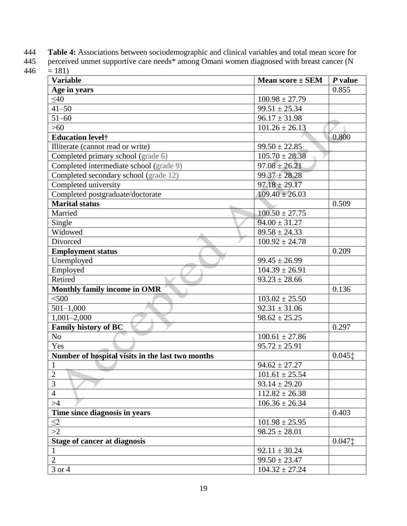444 **Table 4:** Associations between sociodemographic and clinical variables and total mean score for

| 445 perceived unmet supportive care needs* among Omani women diagnosed with breast cancer (N |
|----------------------------------------------------------------------------------------------|
| $446 = 181$                                                                                  |

| <b>Variable</b>                                  | <b>Mean score <math>\pm</math> SEM</b> | $P$ value |
|--------------------------------------------------|----------------------------------------|-----------|
| Age in years                                     |                                        | 0.855     |
| $\leq 40$                                        | $100.98 \pm 27.79$                     |           |
| $41 - 50$                                        | $99.51 \pm 25.34$                      |           |
| $51 - 60$                                        | $96.17 \pm 31.98$                      |           |
| $>60$                                            | $101.26 \pm 26.13$                     |           |
| <b>Education level</b> †                         |                                        | 0.800     |
| Illiterate (cannot read or write)                | $99.50 \pm 22.85$                      |           |
| Completed primary school (grade 6)               | $105.70 \pm 28.38$                     |           |
| Completed intermediate school (grade 9)          | $97.08 \pm 26.21$                      |           |
| Completed secondary school (grade 12)            | $99.37 \pm 28.28$                      |           |
| Completed university                             | $97.18 \pm 29.17$                      |           |
| Completed postgraduate/doctorate                 | $109.40 \pm 26.03$                     |           |
| <b>Marital status</b>                            |                                        | 0.509     |
| Married                                          | $100.50 \pm 27.75$                     |           |
| Single                                           | $94.00 \pm 31.27$                      |           |
| Widowed                                          | $89.58 \pm 24.33$                      |           |
| Divorced                                         | $100.92 \pm 24.78$                     |           |
| <b>Employment status</b>                         |                                        | 0.209     |
| Unemployed                                       | $99.45 \pm 26.99$                      |           |
| Employed                                         | $104.39 \pm 26.91$                     |           |
| Retired                                          | $93.23 \pm 28.66$                      |           |
| Monthly family income in OMR                     |                                        | 0.136     |
| < 500                                            | $103.02 \pm 25.50$                     |           |
| $501 - 1,000$                                    | $92.31 \pm 31.06$                      |           |
| $1,001-2,000$                                    | $98.62 \pm 25.25$                      |           |
| <b>Family history of BC</b>                      |                                        | 0.297     |
| N <sub>o</sub>                                   | $100.61 \pm 27.86$                     |           |
| Yes                                              | $95.72 \pm 25.91$                      |           |
| Number of hospital visits in the last two months |                                        | $0.045$ ‡ |
| $\mathbf{1}$                                     | $94.62 \pm 27.27$                      |           |
| $\overline{2}$                                   | $101.61 \pm 25.54$                     |           |
| 3                                                | $93.14 \pm 29.20$                      |           |
| $\overline{4}$                                   | $112.82 \pm 26.38$                     |           |
| >4                                               | $106.36 \pm 26.34$                     |           |
| Time since diagnosis in years                    |                                        | 0.403     |
| $\leq2$                                          | $101.98 \pm 25.95$                     |           |
| >2                                               | $98.25 \pm 28.01$                      |           |
| <b>Stage of cancer at diagnosis</b>              |                                        | $0.047$ ‡ |
| $\mathbf{1}$                                     | $92.11 \pm 30.24$                      |           |
| $\overline{2}$                                   | $99.50 \pm 23.47$                      |           |
| 3 or 4                                           | $104.32 \pm 27.24$                     |           |